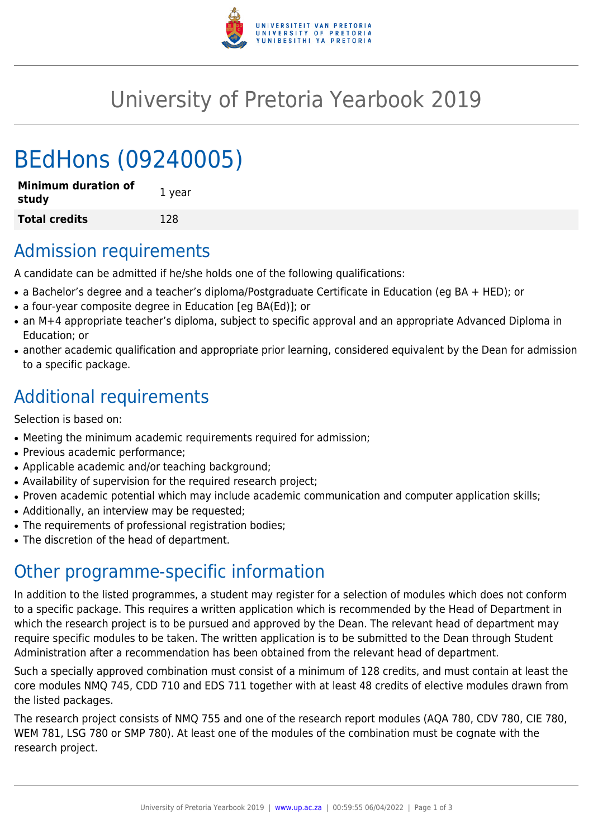

# University of Pretoria Yearbook 2019

# BEdHons (09240005)

| <b>Minimum duration of</b><br>study | 1 year |
|-------------------------------------|--------|
| <b>Total credits</b>                | 128    |

## Admission requirements

A candidate can be admitted if he/she holds one of the following qualifications:

- a Bachelor's degree and a teacher's diploma/Postgraduate Certificate in Education (eg BA + HED); or
- a four-year composite degree in Education [eg BA(Ed)]; or
- an M+4 appropriate teacher's diploma, subject to specific approval and an appropriate Advanced Diploma in Education; or
- another academic qualification and appropriate prior learning, considered equivalent by the Dean for admission to a specific package.

## Additional requirements

Selection is based on:

- Meeting the minimum academic requirements required for admission;
- Previous academic performance;
- Applicable academic and/or teaching background;
- Availability of supervision for the required research project;
- Proven academic potential which may include academic communication and computer application skills;
- Additionally, an interview may be requested;
- The requirements of professional registration bodies;
- The discretion of the head of department.

### Other programme-specific information

In addition to the listed programmes, a student may register for a selection of modules which does not conform to a specific package. This requires a written application which is recommended by the Head of Department in which the research project is to be pursued and approved by the Dean. The relevant head of department may require specific modules to be taken. The written application is to be submitted to the Dean through Student Administration after a recommendation has been obtained from the relevant head of department.

Such a specially approved combination must consist of a minimum of 128 credits, and must contain at least the core modules NMQ 745, CDD 710 and EDS 711 together with at least 48 credits of elective modules drawn from the listed packages.

The research project consists of NMQ 755 and one of the research report modules (AQA 780, CDV 780, CIE 780, WEM 781, LSG 780 or SMP 780). At least one of the modules of the combination must be cognate with the research project.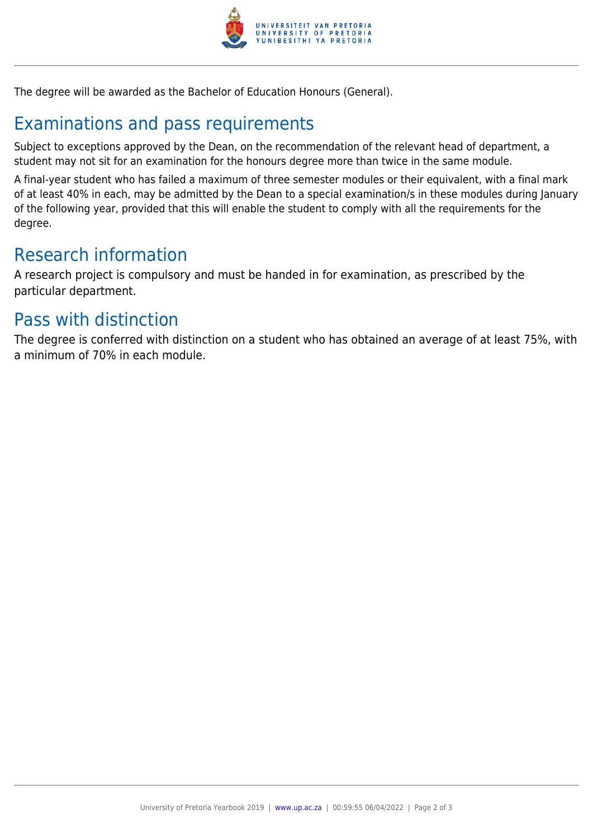

The degree will be awarded as the Bachelor of Education Honours (General).

## Examinations and pass requirements

Subject to exceptions approved by the Dean, on the recommendation of the relevant head of department, a student may not sit for an examination for the honours degree more than twice in the same module.

A final-year student who has failed a maximum of three semester modules or their equivalent, with a final mark of at least 40% in each, may be admitted by the Dean to a special examination/s in these modules during January of the following year, provided that this will enable the student to comply with all the requirements for the degree.

### Research information

A research project is compulsory and must be handed in for examination, as prescribed by the particular department.

### Pass with distinction

The degree is conferred with distinction on a student who has obtained an average of at least 75%, with a minimum of 70% in each module.